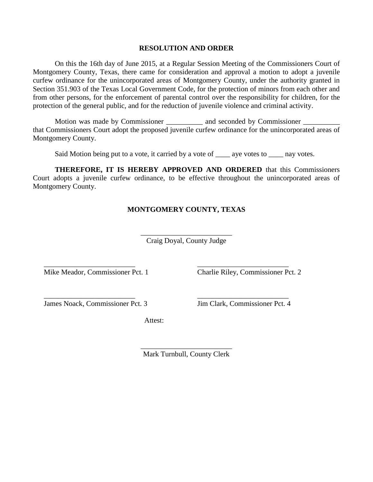## **RESOLUTION AND ORDER**

On this the 16th day of June 2015, at a Regular Session Meeting of the Commissioners Court of Montgomery County, Texas, there came for consideration and approval a motion to adopt a juvenile curfew ordinance for the unincorporated areas of Montgomery County, under the authority granted in Section 351.903 of the Texas Local Government Code, for the protection of minors from each other and from other persons, for the enforcement of parental control over the responsibility for children, for the protection of the general public, and for the reduction of juvenile violence and criminal activity.

Motion was made by Commissioner and seconded by Commissioner that Commissioners Court adopt the proposed juvenile curfew ordinance for the unincorporated areas of Montgomery County.

Said Motion being put to a vote, it carried by a vote of \_\_\_\_\_ aye votes to \_\_\_\_\_ nay votes.

**THEREFORE, IT IS HEREBY APPROVED AND ORDERED** that this Commissioners Court adopts a juvenile curfew ordinance, to be effective throughout the unincorporated areas of Montgomery County.

## **MONTGOMERY COUNTY, TEXAS**

\_\_\_\_\_\_\_\_\_\_\_\_\_\_\_\_\_\_\_\_\_\_\_\_\_ Craig Doyal, County Judge

Mike Meador, Commissioner Pct. 1 Charlie Riley, Commissioner Pct. 2

James Noack, Commissioner Pct. 3 Jim Clark, Commissioner Pct. 4

Attest:

\_\_\_\_\_\_\_\_\_\_\_\_\_\_\_\_\_\_\_\_\_\_\_\_\_ \_\_\_\_\_\_\_\_\_\_\_\_\_\_\_\_\_\_\_\_\_\_\_\_\_

\_\_\_\_\_\_\_\_\_\_\_\_\_\_\_\_\_\_\_\_\_\_\_\_\_ \_\_\_\_\_\_\_\_\_\_\_\_\_\_\_\_\_\_\_\_\_\_\_\_\_

\_\_\_\_\_\_\_\_\_\_\_\_\_\_\_\_\_\_\_\_\_\_\_\_\_ Mark Turnbull, County Clerk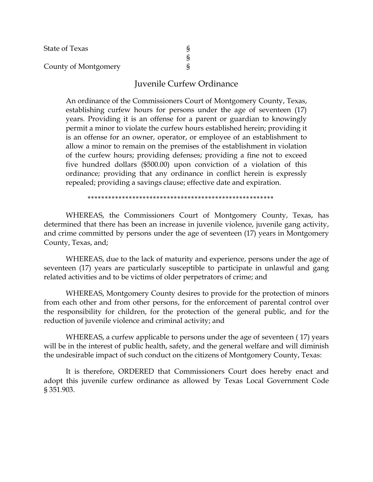| <b>State of Texas</b> |  |
|-----------------------|--|
|                       |  |
| County of Montgomery  |  |

## Juvenile Curfew Ordinance

An ordinance of the Commissioners Court of Montgomery County, Texas, establishing curfew hours for persons under the age of seventeen (17) years. Providing it is an offense for a parent or guardian to knowingly permit a minor to violate the curfew hours established herein; providing it is an offense for an owner, operator, or employee of an establishment to allow a minor to remain on the premises of the establishment in violation of the curfew hours; providing defenses; providing a fine not to exceed five hundred dollars (\$500.00) upon conviction of a violation of this ordinance; providing that any ordinance in conflict herein is expressly repealed; providing a savings clause; effective date and expiration.

\*\*\*\*\*\*\*\*\*\*\*\*\*\*\*\*\*\*\*\*\*\*\*\*\*\*\*\*\*\*\*\*\*\*\*\*\*\*\*\*\*\*\*\*\*\*\*\*\*\*\*\*\*\*

WHEREAS, the Commissioners Court of Montgomery County, Texas, has determined that there has been an increase in juvenile violence, juvenile gang activity, and crime committed by persons under the age of seventeen (17) years in Montgomery County, Texas, and;

WHEREAS, due to the lack of maturity and experience, persons under the age of seventeen (17) years are particularly susceptible to participate in unlawful and gang related activities and to be victims of older perpetrators of crime; and

WHEREAS, Montgomery County desires to provide for the protection of minors from each other and from other persons, for the enforcement of parental control over the responsibility for children, for the protection of the general public, and for the reduction of juvenile violence and criminal activity; and

WHEREAS, a curfew applicable to persons under the age of seventeen ( 17) years will be in the interest of public health, safety, and the general welfare and will diminish the undesirable impact of such conduct on the citizens of Montgomery County, Texas:

It is therefore, ORDERED that Commissioners Court does hereby enact and adopt this juvenile curfew ordinance as allowed by Texas Local Government Code § 351.903.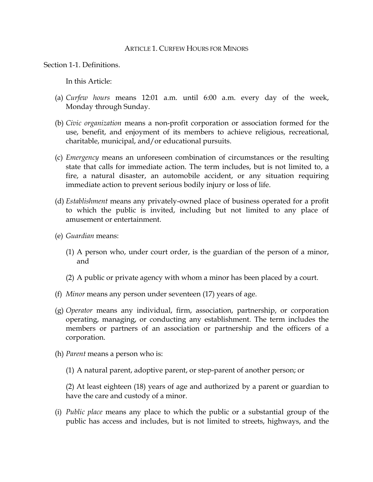## ARTICLE 1 CURFEW HOURS FOR MINORS

Section 1-1. Definitions.

In this Article:

- (a) *Curfew hours* means 12:01 a.m. until 6:00 a.m. every day of the week, Monday through Sunday.
- (b) *Civic organization* means a non-profit corporation or association formed for the use, benefit, and enjoyment of its members to achieve religious, recreational, charitable, municipal, and/or educational pursuits.
- (c) *Emergency* means an unforeseen combination of circumstances or the resulting state that calls for immediate action. The term includes, but is not limited to, a fire, a natural disaster, an automobile accident, or any situation requiring immediate action to prevent serious bodily injury or loss of life.
- (d) *Establishment* means any privately-owned place of business operated for a profit to which the public is invited, including but not limited to any place of amusement or entertainment.
- (e) *Guardian* means:
	- (1) A person who, under court order, is the guardian of the person of a minor, and
	- (2) A public or private agency with whom a minor has been placed by a court.
- (f) *Minor* means any person under seventeen (17) years of age.
- (g) *Operator* means any individual, firm, association, partnership, or corporation operating, managing, or conducting any establishment. The term includes the members or partners of an association or partnership and the officers of a corporation.
- (h) *Parent* means a person who is:
	- (1) A natural parent, adoptive parent, or step-parent of another person; or

(2) At least eighteen (18) years of age and authorized by a parent or guardian to have the care and custody of a minor.

(i) *Public place* means any place to which the public or a substantial group of the public has access and includes, but is not limited to streets, highways, and the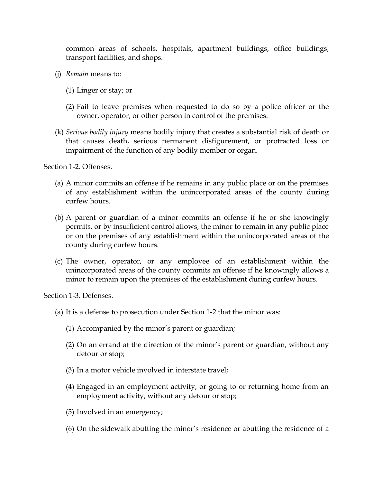common areas of schools, hospitals, apartment buildings, office buildings, transport facilities, and shops.

- (j) *Remain* means to:
	- (1) Linger or stay; or
	- (2) Fail to leave premises when requested to do so by a police officer or the owner, operator, or other person in control of the premises.
- (k) *Serious bodily injury* means bodily injury that creates a substantial risk of death or that causes death, serious permanent disfigurement, or protracted loss or impairment of the function of any bodily member or organ.

Section 1-2. Offenses.

- (a) A minor commits an offense if he remains in any public place or on the premises of any establishment within the unincorporated areas of the county during curfew hours.
- (b) A parent or guardian of a minor commits an offense if he or she knowingly permits, or by insufficient control allows, the minor to remain in any public place or on the premises of any establishment within the unincorporated areas of the county during curfew hours.
- (c) The owner, operator, or any employee of an establishment within the unincorporated areas of the county commits an offense if he knowingly allows a minor to remain upon the premises of the establishment during curfew hours.

Section 1-3. Defenses.

- (a) It is a defense to prosecution under Section 1-2 that the minor was:
	- (1) Accompanied by the minor's parent or guardian;
	- (2) On an errand at the direction of the minor's parent or guardian, without any detour or stop;
	- (3) In a motor vehicle involved in interstate travel;
	- (4) Engaged in an employment activity, or going to or returning home from an employment activity, without any detour or stop;
	- (5) Involved in an emergency;
	- (6) On the sidewalk abutting the minor's residence or abutting the residence of a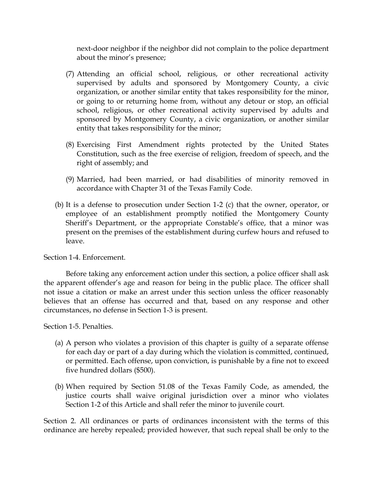next-door neighbor if the neighbor did not complain to the police department about the minor's presence;

- (7) Attending an official school, religious, or other recreational activity supervised by adults and sponsored by Montgomery County, a civic organization, or another similar entity that takes responsibility for the minor, or going to or returning home from, without any detour or stop, an official school, religious, or other recreational activity supervised by adults and sponsored by Montgomery County, a civic organization, or another similar entity that takes responsibility for the minor;
- (8) Exercising First Amendment rights protected by the United States Constitution, such as the free exercise of religion, freedom of speech, and the right of assembly; and
- (9) Married, had been married, or had disabilities of minority removed in accordance with Chapter 31 of the Texas Family Code.
- (b) It is a defense to prosecution under Section 1-2 (c) that the owner, operator, or employee of an establishment promptly notified the Montgomery County Sheriff's Department, or the appropriate Constable's office, that a minor was present on the premises of the establishment during curfew hours and refused to leave.

Section 1-4. Enforcement.

Before taking any enforcement action under this section, a police officer shall ask the apparent offender's age and reason for being in the public place. The officer shall not issue a citation or make an arrest under this section unless the officer reasonably believes that an offense has occurred and that, based on any response and other circumstances, no defense in Section 1-3 is present.

Section 1-5. Penalties.

- (a) A person who violates a provision of this chapter is guilty of a separate offense for each day or part of a day during which the violation is committed, continued, or permitted. Each offense, upon conviction, is punishable by a fine not to exceed five hundred dollars (\$500).
- (b) When required by Section 51.08 of the Texas Family Code, as amended, the justice courts shall waive original jurisdiction over a minor who violates Section 1-2 of this Article and shall refer the minor to juvenile court.

Section 2. All ordinances or parts of ordinances inconsistent with the terms of this ordinance are hereby repealed; provided however, that such repeal shall be only to the